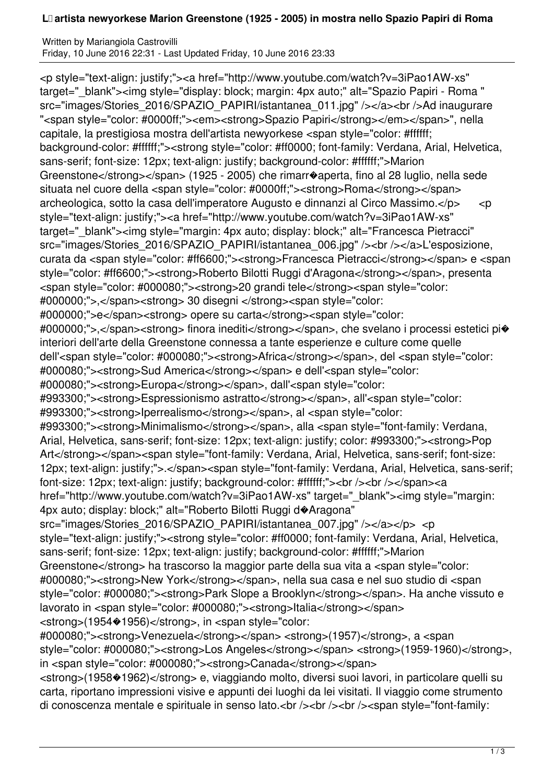## **L�artista newyorkese Marion Greenstone (1925 - 2005) in mostra nello Spazio Papiri di Roma**

Written by Mariangiola Castrovilli Friday, 10 June 2016 22:31 - Last Updated Friday, 10 June 2016 23:33

<p style="text-align: justify;"><a href="http://www.youtube.com/watch?v=3iPao1AW-xs" target=" blank"><img style="display: block; margin: 4px auto;" alt="Spazio Papiri - Roma " src="images/Stories\_2016/SPAZIO\_PAPIRI/istantanea\_011.jpg" /></a><br />>>/ad inaugurare "<span style="color: #0000ff;"><em><strong>Spazio Papiri</strong></em></span>", nella capitale, la prestigiosa mostra dell'artista newyorkese <span style="color: #ffffff; background-color: #ffffff;"><strong style="color: #ff0000; font-family: Verdana, Arial, Helvetica, sans-serif; font-size: 12px; text-align: justify; background-color: #ffffff;">Marion Greenstone</strong></span> (1925 - 2005) che rimarr�aperta, fino al 28 luglio, nella sede situata nel cuore della <span style="color: #0000ff;"><strong>Roma</strong></span> archeologica, sotto la casa dell'imperatore Augusto e dinnanzi al Circo Massimo.</p> <p style="text-align: justify;"><a href="http://www.youtube.com/watch?v=3iPao1AW-xs" target="\_blank"><img style="margin: 4px auto; display: block;" alt="Francesca Pietracci" src="images/Stories\_2016/SPAZIO\_PAPIRI/istantanea\_006.jpg" /><br /></a>L'esposizione, curata da <span style="color: #ff6600;"><strong>Francesca Pietracci</strong></span> e <span style="color: #ff6600;"><strong>Roberto Bilotti Ruggi d'Aragona</strong></span>, presenta <span style="color: #000080;"><strong>20 grandi tele</strong><span style="color: #000000;">,</span><strong> 30 disegni </strong><span style="color: #000000;">e</span><strong> opere su carta</strong><span style="color: #000000;">,</span><strong> finora inediti</strong></span>, che svelano i processi estetici pi� interiori dell'arte della Greenstone connessa a tante esperienze e culture come quelle dell'<span style="color: #000080;"><strong>Africa</strong></span>, del <span style="color: #000080;"><strong>Sud America</strong></span> e dell'<span style="color: #000080;"><strong>Europa</strong></span>, dall'<span style="color: #993300;"><strong>Espressionismo astratto</strong></span>, all'<span style="color: #993300;"><strong>Iperrealismo</strong></span>, al <span style="color: #993300;"><strong>Minimalismo</strong></span>, alla <span style="font-family: Verdana, Arial, Helvetica, sans-serif; font-size: 12px; text-align: justify; color: #993300;"><strong>Pop Art</strong></span><span style="font-family: Verdana, Arial, Helvetica, sans-serif; font-size: 12px; text-align: justify;">.</span><span style="font-family: Verdana, Arial, Helvetica, sans-serif; font-size: 12px; text-align: justify; background-color: #ffffff;"><br />>/>></span><a href="http://www.youtube.com/watch?v=3iPao1AW-xs" target="\_blank"><img style="margin: 4px auto; display: block;" alt="Roberto Bilotti Ruggi d�Aragona" src="images/Stories\_2016/SPAZIO\_PAPIRI/istantanea\_007.jpg" /></a></p> <p style="text-align: justify;"><strong style="color: #ff0000; font-family: Verdana, Arial, Helvetica, sans-serif; font-size: 12px; text-align: justify; background-color: #ffffff;">Marion Greenstone</strong> ha trascorso la maggior parte della sua vita a <span style="color: #000080;"><strong>New York</strong></span>, nella sua casa e nel suo studio di <span style="color: #000080;"><strong>Park Slope a Brooklyn</strong></span>. Ha anche vissuto e lavorato in <span style="color: #000080;"><strong>Italia</strong></span> <strong>(1954�1956)</strong>, in <span style="color: #000080;"><strong>Venezuela</strong></span> <strong>(1957)</strong>, a <span style="color: #000080;"><strong>Los Angeles</strong></span> <strong>(1959-1960)</strong>, in <span style="color: #000080;"><strong>Canada</strong></span>

<strong>(1958�1962)</strong> e, viaggiando molto, diversi suoi lavori, in particolare quelli su carta, riportano impressioni visive e appunti dei luoghi da lei visitati. Il viaggio come strumento di conoscenza mentale e spirituale in senso lato.<br />>/>><br />>/>/><br />>/>><span style="font-family: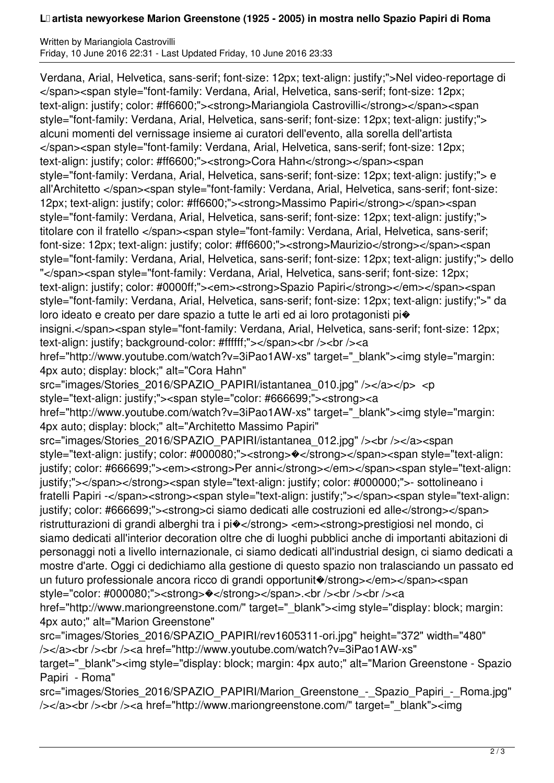## **L�artista newyorkese Marion Greenstone (1925 - 2005) in mostra nello Spazio Papiri di Roma**

Written by Mariangiola Castrovilli Friday, 10 June 2016 22:31 - Last Updated Friday, 10 June 2016 23:33

Verdana, Arial, Helvetica, sans-serif; font-size: 12px; text-align: justify;">Nel video-reportage di </span><span style="font-family: Verdana, Arial, Helvetica, sans-serif; font-size: 12px; text-align: justify; color: #ff6600;"><strong>Mariangiola Castrovilli</strong></span><span style="font-family: Verdana, Arial, Helvetica, sans-serif; font-size: 12px; text-align: justify;"> alcuni momenti del vernissage insieme ai curatori dell'evento, alla sorella dell'artista </span><span style="font-family: Verdana, Arial, Helvetica, sans-serif; font-size: 12px; text-align: justify; color: #ff6600;"><strong>Cora Hahn</strong></span><span style="font-family: Verdana, Arial, Helvetica, sans-serif; font-size: 12px; text-align: justify;"> e all'Architetto </span><span style="font-family: Verdana, Arial, Helvetica, sans-serif; font-size: 12px; text-align: justify; color: #ff6600;"><strong>Massimo Papiri</strong></span><span style="font-family: Verdana, Arial, Helvetica, sans-serif; font-size: 12px; text-align: justify;"> titolare con il fratello </span><span style="font-family: Verdana, Arial, Helvetica, sans-serif; font-size: 12px; text-align: justify; color: #ff6600;"><strong>Maurizio</strong></span><span style="font-family: Verdana, Arial, Helvetica, sans-serif; font-size: 12px; text-align: justify;"> dello "</span><span style="font-family: Verdana, Arial, Helvetica, sans-serif; font-size: 12px; text-align: justify; color: #0000ff;"><em><strong>Spazio Papiri</strong></em></span><span style="font-family: Verdana, Arial, Helvetica, sans-serif; font-size: 12px; text-align: justify;">" da loro ideato e creato per dare spazio a tutte le arti ed ai loro protagonisti pi� insigni.</span><span style="font-family: Verdana, Arial, Helvetica, sans-serif; font-size: 12px; text-align: justify; background-color: #ffffff;"></span><br/>>br />></a href="http://www.youtube.com/watch?v=3iPao1AW-xs" target="\_blank"><img style="margin: 4px auto; display: block;" alt="Cora Hahn" src="images/Stories\_2016/SPAZIO\_PAPIRI/istantanea\_010.jpg" /></a></p> <p style="text-align: justify;"><span style="color: #666699;"><strong><a href="http://www.youtube.com/watch?v=3iPao1AW-xs" target="\_blank"><img style="margin: 4px auto; display: block;" alt="Architetto Massimo Papiri" src="images/Stories\_2016/SPAZIO\_PAPIRI/istantanea\_012.jpg" /><br />>/a><span style="text-align: justify; color: #000080;"><strong>%</strong></span><span style="text-align: justify; color: #666699;"><em><strong>Per anni</strong></em></span><span style="text-align: justify;"></span></strong><span style="text-align: justify; color: #000000;">- sottolineano i fratelli Papiri -</span><strong><span style="text-align: justify;"></span><span style="text-align: justify; color: #666699;"><strong>ci siamo dedicati alle costruzioni ed alle</strong></span> ristrutturazioni di grandi alberghi tra i pi�</strong> <em><strong>prestigiosi nel mondo, ci siamo dedicati all'interior decoration oltre che di luoghi pubblici anche di importanti abitazioni di personaggi noti a livello internazionale, ci siamo dedicati all'industrial design, ci siamo dedicati a mostre d'arte. Oggi ci dedichiamo alla gestione di questo spazio non tralasciando un passato ed un futuro professionale ancora ricco di grandi opportunit $\diamond$ /strong></em></span><span style="color: #000080;"><strong> $\triangleleft$ </strong></span>.<br/>>ht />>/>><br/>strong><a href="http://www.mariongreenstone.com/" target=" blank"><img style="display: block; margin: 4px auto;" alt="Marion Greenstone" src="images/Stories\_2016/SPAZIO\_PAPIRI/rev1605311-ori.jpg" height="372" width="480" /></a><br />>>/a><br />>/>><a href="http://www.youtube.com/watch?v=3iPao1AW-xs" target=" blank"><img style="display: block; margin: 4px auto;" alt="Marion Greenstone - Spazio Papiri - Roma"

src="images/Stories\_2016/SPAZIO\_PAPIRI/Marion\_Greenstone\_-\_Spazio\_Papiri\_-\_Roma.jpg" />>/a><br />>br /><a href="http://www.mariongreenstone.com/" target=" blank"><img